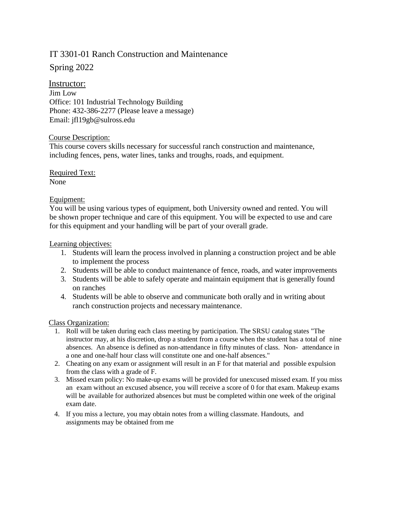# IT 3301-01 Ranch Construction and Maintenance

Spring 2022

# Instructor:

Jim Low Office: 101 Industrial Technology Building Phone: 432-386-2277 (Please leave a message) Email: [jfl19gb@sulross.edu](mailto:jfl19gb@sulross.edu)

#### Course Description:

This course covers skills necessary for successful ranch construction and maintenance, including fences, pens, water lines, tanks and troughs, roads, and equipment.

Required Text: None

## Equipment:

You will be using various types of equipment, both University owned and rented. You will be shown proper technique and care of this equipment. You will be expected to use and care for this equipment and your handling will be part of your overall grade.

#### Learning objectives:

- 1. Students will learn the process involved in planning a construction project and be able to implement the process
- 2. Students will be able to conduct maintenance of fence, roads, and water improvements
- 3. Students will be able to safely operate and maintain equipment that is generally found on ranches
- 4. Students will be able to observe and communicate both orally and in writing about ranch construction projects and necessary maintenance.

#### Class Organization:

- 1. Roll will be taken during each class meeting by participation. The SRSU catalog states "The instructor may, at his discretion, drop a student from a course when the student has a total of nine absences. An absence is defined as non-attendance in fifty minutes of class. Non- attendance in a one and one-half hour class will constitute one and one-half absences."
- 2. Cheating on any exam or assignment will result in an F for that material and possible expulsion from the class with a grade of F.
- 3. Missed exam policy: No make-up exams will be provided for unexcused missed exam. If you miss an exam without an excused absence, you will receive a score of 0 for that exam. Makeup exams will be available for authorized absences but must be completed within one week of the original exam date.
- 4. If you miss a lecture, you may obtain notes from a willing classmate. Handouts, and assignments may be obtained from me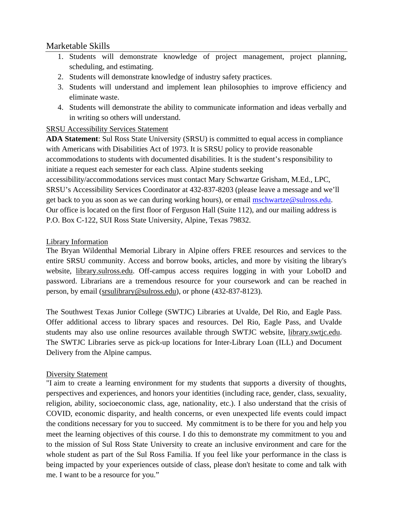# Marketable Skills

- 1. Students will demonstrate knowledge of project management, project planning, scheduling, and estimating.
- 2. Students will demonstrate knowledge of industry safety practices.
- 3. Students will understand and implement lean philosophies to improve efficiency and eliminate waste.
- 4. Students will demonstrate the ability to communicate information and ideas verbally and in writing so others will understand.

## SRSU Accessibility Services Statement

**ADA Statement**: Sul Ross State University (SRSU) is committed to equal access in compliance with Americans with Disabilities Act of 1973. It is SRSU policy to provide reasonable accommodations to students with documented disabilities. It is the student's responsibility to initiate a request each semester for each class. Alpine students seeking

accessibility/accommodations services must contact Mary Schwartze Grisham, M.Ed., LPC, SRSU's Accessibility Services Coordinator at 432-837-8203 (please leave a message and we'll get back to you as soon as we can during working hours), or email [mschwartze@sulross.edu.](mailto:mschwartze@sulross.edu) Our office is located on the first floor of Ferguson Hall (Suite 112), and our mailing address is P.O. Box C-122, SUI Ross State University, Alpine, Texas 79832.

# Library Information

The Bryan Wildenthal Memorial Library in Alpine offers FREE resources and services to the entire SRSU community. Access and borrow books, articles, and more by visiting the library's website, *library.sulross.edu.* Off-campus access requires logging in with your LoboID and password. Librarians are a tremendous resource for your coursework and can be reached in person, by email (srsulibrary@sulross.edu), or phone (432-837-8123).

The Southwest Texas Junior College (SWTJC) Libraries at Uvalde, Del Rio, and Eagle Pass. Offer additional access to library spaces and resources. Del Rio, Eagle Pass, and Uvalde students may also use online resources available through SWTJC website, library.swtjc.edu. The SWTJC Libraries serve as pick-up locations for Inter-Library Loan (ILL) and Document Delivery from the Alpine campus.

# Diversity Statement

"I aim to create a learning environment for my students that supports a diversity of thoughts, perspectives and experiences, and honors your identities (including race, gender, class, sexuality, religion, ability, socioeconomic class, age, nationality, etc.). I also understand that the crisis of COVID, economic disparity, and health concerns, or even unexpected life events could impact the conditions necessary for you to succeed. My commitment is to be there for you and help you meet the learning objectives of this course. I do this to demonstrate my commitment to you and to the mission of Sul Ross State University to create an inclusive environment and care for the whole student as part of the Sul Ross Familia. If you feel like your performance in the class is being impacted by your experiences outside of class, please don't hesitate to come and talk with me. I want to be a resource for you."